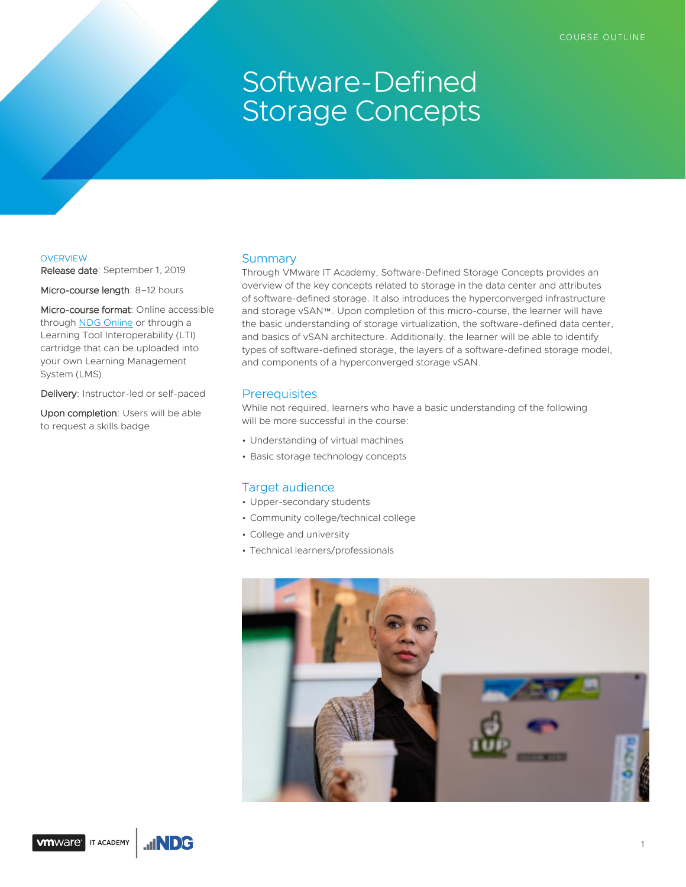# Software-Defined Storage Concepts

## **OVERVIEW**

Release date: September 1, 2019

Micro-course length: 8-12 hours

Micro-course format: Online accessible through [NDG Online](https://ndg.tech/vmware) or through a Learning Tool Interoperability (LTI) cartridge that can be uploaded into your own Learning Management System (LMS)

Delivery: Instructor-led or self-paced

Upon completion: Users will be able to request a skills badge

## **Summary**

Through VMware IT Academy, Software-Defined Storage Concepts provides an overview of the key concepts related to storage in the data center and attributes of software-defined storage. It also introduces the hyperconverged infrastructure and storage vSAN™. Upon completion of this micro-course, the learner will have the basic understanding of storage virtualization, the software-defined data center, and basics of vSAN architecture. Additionally, the learner will be able to identify types of software-defined storage, the layers of a software-defined storage model, and components of a hyperconverged storage vSAN.

# **Prerequisites**

While not required, learners who have a basic understanding of the following will be more successful in the course:

- Understanding of virtual machines
- Basic storage technology concepts

### Target audience

- Upper-secondary students
- Community college/technical college
- College and university
- Technical learners/professionals